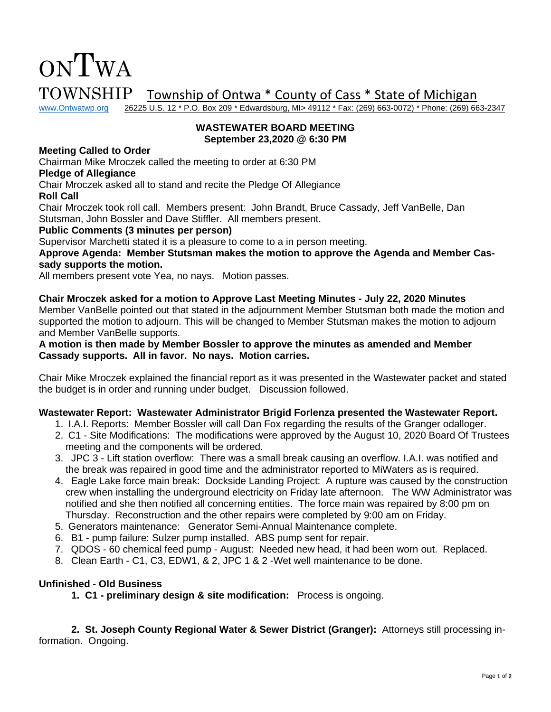

TOWNSHIP Township of Ontwa \* County of Cass \* State of Michigan<br>www.Ontwatwp.org 26225 U.S. 12 \* P.O. Box 209 \* Edwardsburg, MI> 49112 \* Fax: (269) 663-0072) \* Phone: (269) 66

26225 U.S. 12 \* P.O. Box 209 \* Edwardsburg, MI> 49112 \* Fax: (269) 663-0072) \* Phone: (269) 663-2347

### **WASTEWATER BOARD MEETING September 23,2020 @ 6:30 PM**

### **Meeting Called to Order**

Chairman Mike Mroczek called the meeting to order at 6:30 PM

#### **Pledge of Allegiance**

Chair Mroczek asked all to stand and recite the Pledge Of Allegiance

**Roll Call**

Chair Mroczek took roll call. Members present: John Brandt, Bruce Cassady, Jeff VanBelle, Dan Stutsman, John Bossler and Dave Stiffler. All members present.

### **Public Comments (3 minutes per person)**

Supervisor Marchetti stated it is a pleasure to come to a in person meeting.

**Approve Agenda: Member Stutsman makes the motion to approve the Agenda and Member Cassady supports the motion.** 

All members present vote Yea, no nays. Motion passes.

# **Chair Mroczek asked for a motion to Approve Last Meeting Minutes - July 22, 2020 Minutes**

Member VanBelle pointed out that stated in the adjournment Member Stutsman both made the motion and supported the motion to adjourn. This will be changed to Member Stutsman makes the motion to adjourn and Member VanBelle supports.

### **A motion is then made by Member Bossler to approve the minutes as amended and Member Cassady supports. All in favor. No nays. Motion carries.**

Chair Mike Mroczek explained the financial report as it was presented in the Wastewater packet and stated the budget is in order and running under budget. Discussion followed.

# **Wastewater Report: Wastewater Administrator Brigid Forlenza presented the Wastewater Report.**

- 1. I.A.I. Reports: Member Bossler will call Dan Fox regarding the results of the Granger odalloger.
- 2. C1 Site Modifications: The modifications were approved by the August 10, 2020 Board Of Trustees meeting and the components will be ordered.
- 3. JPC 3 Lift station overflow: There was a small break causing an overflow. I.A.I. was notified and the break was repaired in good time and the administrator reported to MiWaters as is required.
- 4. Eagle Lake force main break: Dockside Landing Project: A rupture was caused by the construction crew when installing the underground electricity on Friday late afternoon. The WW Administrator was notified and she then notified all concerning entities. The force main was repaired by 8:00 pm on Thursday. Reconstruction and the other repairs were completed by 9:00 am on Friday.
- 5. Generators maintenance: Generator Semi-Annual Maintenance complete.
- 6. B1 pump failure: Sulzer pump installed. ABS pump sent for repair.
- 7. QDOS 60 chemical feed pump August: Needed new head, it had been worn out. Replaced.
- 8. Clean Earth C1, C3, EDW1, & 2, JPC 1 & 2 -Wet well maintenance to be done.

# **Unfinished - Old Business**

**1. C1 - preliminary design & site modification:** Process is ongoing.

**2. St. Joseph County Regional Water & Sewer District (Granger):** Attorneys still processing information. Ongoing.